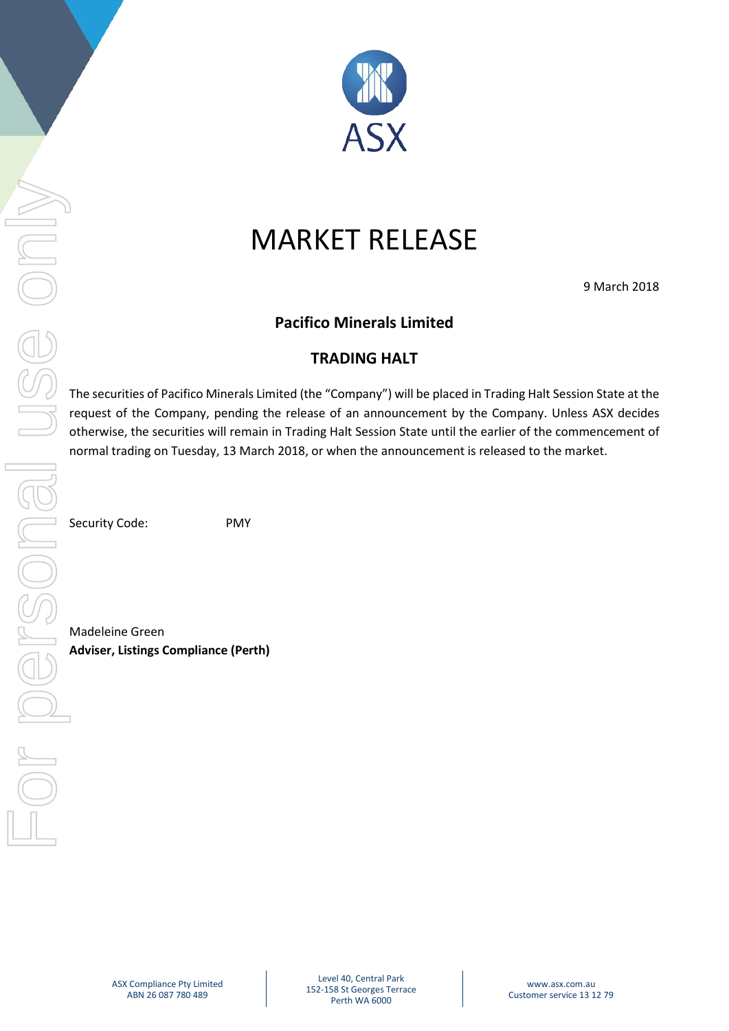

## MARKET RELEASE

9 March 2018

**Pacifico Minerals Limited**

## **TRADING HALT**

The securities of Pacifico Minerals Limited (the "Company") will be placed in Trading Halt Session State at the request of the Company, pending the release of an announcement by the Company. Unless ASX decides otherwise, the securities will remain in Trading Halt Session State until the earlier of the commencement of normal trading on Tuesday, 13 March 2018, or when the announcement is released to the market.

Security Code: PMY

Madeleine Green